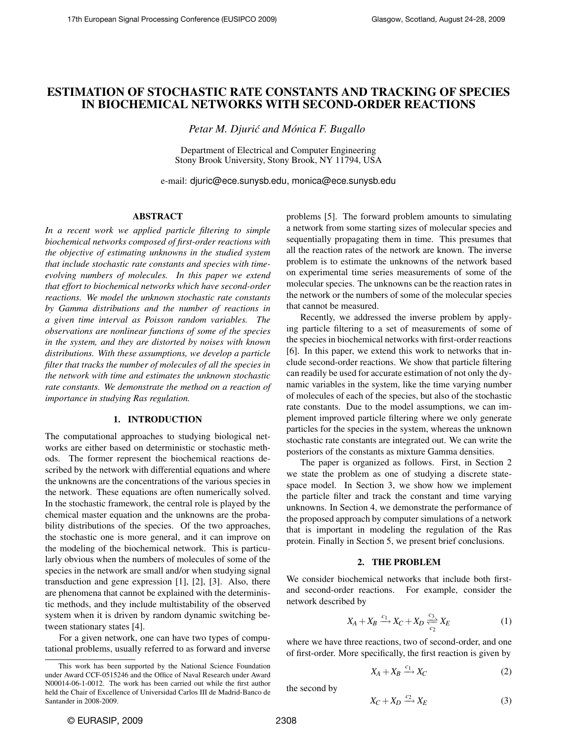# ESTIMATION OF STOCHASTIC RATE CONSTANTS AND TRACKING OF SPECIES IN BIOCHEMICAL NETWORKS WITH SECOND-ORDER REACTIONS

*Petar M. Djurić and Mónica F. Bugallo* 

Department of Electrical and Computer Engineering Stony Brook University, Stony Brook, NY 11794, USA

e-mail: djuric@ece.sunysb.edu, monica@ece.sunysb.edu

## ABSTRACT

*In a recent work we applied particle filtering to simple biochemical networks composed of first-order reactions with the objective of estimating unknowns in the studied system that include stochastic rate constants and species with timeevolving numbers of molecules. In this paper we extend that effort to biochemical networks which have second-order reactions. We model the unknown stochastic rate constants by Gamma distributions and the number of reactions in a given time interval as Poisson random variables. The observations are nonlinear functions of some of the species in the system, and they are distorted by noises with known distributions. With these assumptions, we develop a particle filter that tracks the number of molecules of all the species in the network with time and estimates the unknown stochastic rate constants. We demonstrate the method on a reaction of importance in studying Ras regulation.*

### 1. INTRODUCTION

The computational approaches to studying biological networks are either based on deterministic or stochastic methods. The former represent the biochemical reactions described by the network with differential equations and where the unknowns are the concentrations of the various species in the network. These equations are often numerically solved. In the stochastic framework, the central role is played by the chemical master equation and the unknowns are the probability distributions of the species. Of the two approaches, the stochastic one is more general, and it can improve on the modeling of the biochemical network. This is particularly obvious when the numbers of molecules of some of the species in the network are small and/or when studying signal transduction and gene expression [1], [2], [3]. Also, there are phenomena that cannot be explained with the deterministic methods, and they include multistability of the observed system when it is driven by random dynamic switching between stationary states [4].

For a given network, one can have two types of computational problems, usually referred to as forward and inverse problems [5]. The forward problem amounts to simulating a network from some starting sizes of molecular species and sequentially propagating them in time. This presumes that all the reaction rates of the network are known. The inverse problem is to estimate the unknowns of the network based on experimental time series measurements of some of the molecular species. The unknowns can be the reaction rates in the network or the numbers of some of the molecular species that cannot be measured.

Recently, we addressed the inverse problem by applying particle filtering to a set of measurements of some of the species in biochemical networks with first-order reactions [6]. In this paper, we extend this work to networks that include second-order reactions. We show that particle filtering can readily be used for accurate estimation of not only the dynamic variables in the system, like the time varying number of molecules of each of the species, but also of the stochastic rate constants. Due to the model assumptions, we can implement improved particle filtering where we only generate particles for the species in the system, whereas the unknown stochastic rate constants are integrated out. We can write the posteriors of the constants as mixture Gamma densities.

The paper is organized as follows. First, in Section 2 we state the problem as one of studying a discrete statespace model. In Section 3, we show how we implement the particle filter and track the constant and time varying unknowns. In Section 4, we demonstrate the performance of the proposed approach by computer simulations of a network that is important in modeling the regulation of the Ras protein. Finally in Section 5, we present brief conclusions.

#### 2. THE PROBLEM

We consider biochemical networks that include both firstand second-order reactions. For example, consider the network described by

$$
X_A + X_B \xrightarrow{c_1} X_C + X_D \xrightarrow[c_2]{c_3} X_E \tag{1}
$$

where we have three reactions, two of second-order, and one of first-order. More specifically, the first reaction is given by

$$
X_A + X_B \xrightarrow{c_1} X_C \tag{2}
$$

the second by

$$
X_C + X_D \xrightarrow{c_2} X_E \tag{3}
$$

This work has been supported by the National Science Foundation under Award CCF-0515246 and the Office of Naval Research under Award N00014-06-1-0012. The work has been carried out while the first author held the Chair of Excellence of Universidad Carlos III de Madrid-Banco de Santander in 2008-2009.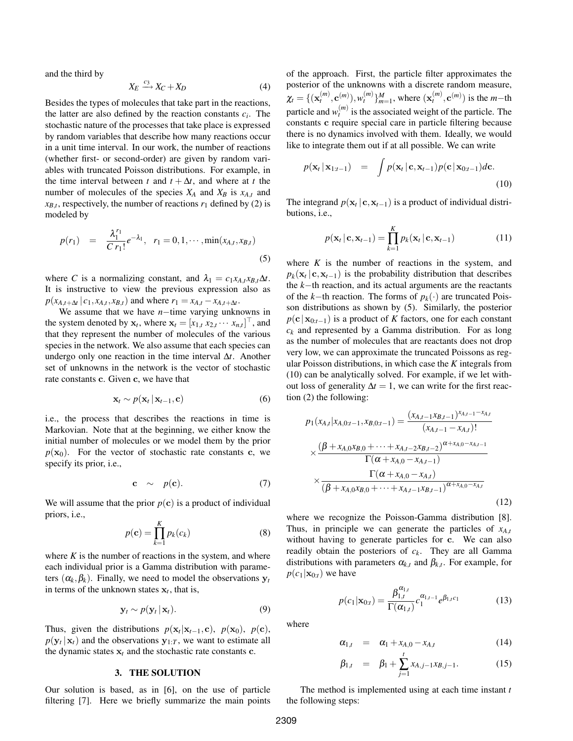and the third by

$$
X_E \xrightarrow{c_3} X_C + X_D \tag{4}
$$

Besides the types of molecules that take part in the reactions, the latter are also defined by the reaction constants *c<sup>i</sup>* . The stochastic nature of the processes that take place is expressed by random variables that describe how many reactions occur in a unit time interval. In our work, the number of reactions (whether first- or second-order) are given by random variables with truncated Poisson distributions. For example, in the time interval between *t* and  $t + \Delta t$ , and where at *t* the number of molecules of the species  $X_A$  and  $X_B$  is  $x_{A,t}$  and  $x_{B,t}$ , respectively, the number of reactions  $r_1$  defined by (2) is modeled by

$$
p(r_1) = \frac{\lambda_1^{r_1}}{C r_1!} e^{-\lambda_1}, \quad r_1 = 0, 1, \cdots, \min(x_{A,t}, x_{B,t})
$$
\n(5)

where *C* is a normalizing constant, and  $\lambda_1 = c_1 x_{A,t} x_{B,t} \Delta t$ . It is instructive to view the previous expression also as  $p(x_{A,t+\Delta t} | c_1, x_{A,t}, x_{B,t})$  and where  $r_1 = x_{A,t} - x_{A,t+\Delta t}$ .

We assume that we have *n*−time varying unknowns in the system denoted by  $\mathbf{x}_t$ , where  $\mathbf{x}_t = [x_{1,t} \ x_{2,t} \ \cdots \ x_{n,t}]^\top$ , and that they represent the number of molecules of the various species in the network. We also assume that each species can undergo only one reaction in the time interval ∆*t*. Another set of unknowns in the network is the vector of stochastic rate constants c. Given c, we have that

$$
\mathbf{x}_t \sim p(\mathbf{x}_t | \mathbf{x}_{t-1}, \mathbf{c}) \tag{6}
$$

i.e., the process that describes the reactions in time is Markovian. Note that at the beginning, we either know the initial number of molecules or we model them by the prior  $p(\mathbf{x}_0)$ . For the vector of stochastic rate constants c, we specify its prior, i.e.,

$$
\mathbf{c} \sim p(\mathbf{c}). \tag{7}
$$

We will assume that the prior  $p(c)$  is a product of individual priors, i.e.,

$$
p(\mathbf{c}) = \prod_{k=1}^{K} p_k(c_k)
$$
 (8)

where  $K$  is the number of reactions in the system, and where each individual prior is a Gamma distribution with parameters  $(\alpha_k, \beta_k)$ . Finally, we need to model the observations  $y_t$ in terms of the unknown states  $x_t$ , that is,

$$
\mathbf{y}_t \sim p(\mathbf{y}_t | \mathbf{x}_t). \tag{9}
$$

Thus, given the distributions  $p(\mathbf{x}_t | \mathbf{x}_{t-1}, \mathbf{c})$ ,  $p(\mathbf{x}_0)$ ,  $p(\mathbf{c})$ ,  $p(\mathbf{y}_t | \mathbf{x}_t)$  and the observations  $\mathbf{y}_{1:T}$ , we want to estimate all the dynamic states  $x_t$  and the stochastic rate constants  $c$ .

#### 3. THE SOLUTION

Our solution is based, as in [6], on the use of particle filtering [7]. Here we briefly summarize the main points of the approach. First, the particle filter approximates the posterior of the unknowns with a discrete random measure,  $\chi_t = \{ (\mathbf{x}_t^{(m)}, \mathbf{c}^{(m)})$ ,  $w_t^{(m)} \}_{m=1}^M$ , where  $(\mathbf{x}_t^{(m)}, \mathbf{c}^{(m)})$  is the *m*−th particle and  $w_t^{(m)}$  is the associated weight of the particle. The constants c require special care in particle filtering because there is no dynamics involved with them. Ideally, we would like to integrate them out if at all possible. We can write

$$
p(\mathbf{x}_t | \mathbf{x}_{1:t-1}) = \int p(\mathbf{x}_t | \mathbf{c}, \mathbf{x}_{t-1}) p(\mathbf{c} | \mathbf{x}_{0:t-1}) d\mathbf{c}.
$$
\n(10)

The integrand  $p(\mathbf{x}_t | \mathbf{c}, \mathbf{x}_{t-1})$  is a product of individual distributions, i.e.,

$$
p(\mathbf{x}_t \mid \mathbf{c}, \mathbf{x}_{t-1}) = \prod_{k=1}^K p_k(\mathbf{x}_t \mid \mathbf{c}, \mathbf{x}_{t-1})
$$
(11)

where  $K$  is the number of reactions in the system, and  $p_k(\mathbf{x}_t \mid \mathbf{c}, \mathbf{x}_{t-1})$  is the probability distribution that describes the *k*−th reaction, and its actual arguments are the reactants of the *k*−th reaction. The forms of *pk*(·) are truncated Poisson distributions as shown by (5). Similarly, the posterior  $p(c|\mathbf{x}_{0:t-1})$  is a product of *K* factors, one for each constant  $c_k$  and represented by a Gamma distribution. For as long as the number of molecules that are reactants does not drop very low, we can approximate the truncated Poissons as regular Poisson distributions, in which case the *K* integrals from (10) can be analytically solved. For example, if we let without loss of generality  $\Delta t = 1$ , we can write for the first reaction (2) the following:

$$
p_1(x_{A,t}|x_{A,0:t-1}, x_{B,0:t-1}) = \frac{(x_{A,t-1}x_{B,t-1})^{x_{A,t-1}-x_{A,t}}}{(x_{A,t-1}-x_{A,t})!} \times \frac{(\beta + x_{A,0}x_{B,0} + \dots + x_{A,t-2}x_{B,t-2})^{\alpha + x_{A,0}-x_{A,t-1}}}{\Gamma(\alpha + x_{A,0}-x_{A,t-1})} \times \frac{\Gamma(\alpha + x_{A,0}-x_{A,t})}{(\beta + x_{A,0}x_{B,0} + \dots + x_{A,t-1}x_{B,t-1})^{\alpha + x_{A,0}-x_{A,t}}}
$$
\n(12)

where we recognize the Poisson-Gamma distribution [8]. Thus, in principle we can generate the particles of  $x_{A,t}$ without having to generate particles for c. We can also readily obtain the posteriors of *c<sup>k</sup>* . They are all Gamma distributions with parameters  $\alpha_{k,t}$  and  $\beta_{k,t}$ . For example, for  $p(c_1|\mathbf{x}_{0:t})$  we have

$$
p(c_1|\mathbf{x}_{0:t}) = \frac{\beta_{1,t}^{\alpha_{1,t}}}{\Gamma(\alpha_{1,t})}c_1^{\alpha_{1,t-1}}e^{\beta_{1,t}c_1}
$$
(13)

where

$$
\alpha_{1,t} = \alpha_1 + x_{A,0} - x_{A,t} \tag{14}
$$

$$
\beta_{1,t} = \beta_1 + \sum_{j=1}^{t} x_{A,j-1} x_{B,j-1}.
$$
 (15)

The method is implemented using at each time instant *t* the following steps: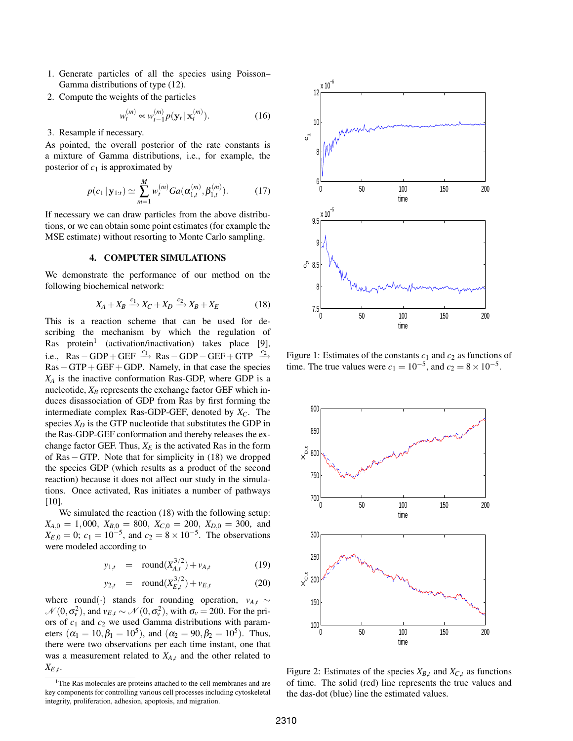- 1. Generate particles of all the species using Poisson– Gamma distributions of type (12).
- 2. Compute the weights of the particles

$$
w_t^{(m)} \propto w_{t-1}^{(m)} p(\mathbf{y}_t | \mathbf{x}_t^{(m)}).
$$
 (16)

3. Resample if necessary.

As pointed, the overall posterior of the rate constants is a mixture of Gamma distributions, i.e., for example, the posterior of *c*<sup>1</sup> is approximated by

$$
p(c_1 | \mathbf{y}_{1:t}) \simeq \sum_{m=1}^{M} w_t^{(m)} G a(\alpha_{1,t}^{(m)}, \beta_{1,t}^{(m)}).
$$
 (17)

If necessary we can draw particles from the above distributions, or we can obtain some point estimates (for example the MSE estimate) without resorting to Monte Carlo sampling.

# 4. COMPUTER SIMULATIONS

We demonstrate the performance of our method on the following biochemical network:

$$
X_A + X_B \xrightarrow{c_1} X_C + X_D \xrightarrow{c_2} X_B + X_E \tag{18}
$$

This is a reaction scheme that can be used for describing the mechanism by which the regulation of Ras protein<sup>1</sup> (activation/inactivation) takes place [9], i.e., Ras – GDP + GEF  $\xrightarrow{c_1}$  Ras – GDP – GEF + GTP  $\xrightarrow{c_2}$ Ras−GTP+GEF+GDP. Namely, in that case the species *X<sup>A</sup>* is the inactive conformation Ras-GDP, where GDP is a nucleotide,  $X_B$  represents the exchange factor GEF which induces disassociation of GDP from Ras by first forming the intermediate complex Ras-GDP-GEF, denoted by *XC*. The species  $X_D$  is the GTP nucleotide that substitutes the GDP in the Ras-GDP-GEF conformation and thereby releases the exchange factor GEF. Thus,  $X_E$  is the activated Ras in the form of Ras−GTP. Note that for simplicity in (18) we dropped the species GDP (which results as a product of the second reaction) because it does not affect our study in the simulations. Once activated, Ras initiates a number of pathways [10].

We simulated the reaction  $(18)$  with the following setup:  $X_{A,0} = 1,000, X_{B,0} = 800, X_{C,0} = 200, X_{D,0} = 300, \text{ and}$  $X_{E,0} = 0$ ;  $c_1 = 10^{-5}$ , and  $c_2 = 8 \times 10^{-5}$ . The observations were modeled according to

$$
y_{1,t} = \text{round}(X_{A,t}^{3/2}) + v_{A,t} \tag{19}
$$

$$
y_{2,t} = \text{round}(X_{E,t}^{3/2}) + v_{E,t} \tag{20}
$$

where round(·) stands for rounding operation,  $v_{A,t} \sim$  $\mathcal{N}(0, \sigma_v^2)$ , and  $v_{E,t} \sim \mathcal{N}(0, \sigma_v^2)$ , with  $\sigma_v = 200$ . For the priors of *c*<sup>1</sup> and *c*<sup>2</sup> we used Gamma distributions with parameters  $(\alpha_1 = 10, \beta_1 = 10^5)$ , and  $(\alpha_2 = 90, \beta_2 = 10^5)$ . Thus, there were two observations per each time instant, one that was a measurement related to *XA*,*<sup>t</sup>* and the other related to  $X_{E,t}$ .





Figure 1: Estimates of the constants  $c_1$  and  $c_2$  as functions of time. The true values were  $c_1 = 10^{-5}$ , and  $c_2 = 8 \times 10^{-5}$ .



Figure 2: Estimates of the species  $X_{B,t}$  and  $X_{C,t}$  as functions of time. The solid (red) line represents the true values and the das-dot (blue) line the estimated values.